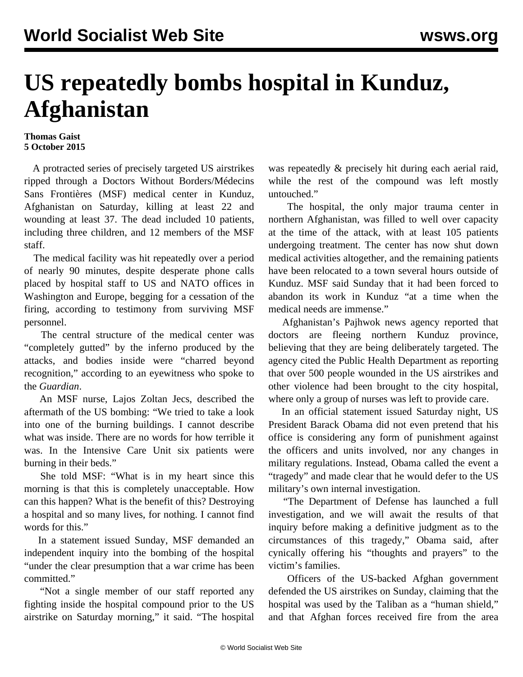## **US repeatedly bombs hospital in Kunduz, Afghanistan**

## **Thomas Gaist 5 October 2015**

 A protracted series of precisely targeted US airstrikes ripped through a Doctors Without Borders/Médecins Sans Frontières (MSF) medical center in Kunduz, Afghanistan on Saturday, killing at least 22 and wounding at least 37. The dead included 10 patients, including three children, and 12 members of the MSF staff.

 The medical facility was hit repeatedly over a period of nearly 90 minutes, despite desperate phone calls placed by hospital staff to US and NATO offices in Washington and Europe, begging for a cessation of the firing, according to testimony from surviving MSF personnel.

 The central structure of the medical center was "completely gutted" by the inferno produced by the attacks, and bodies inside were "charred beyond recognition," according to an eyewitness who spoke to the *Guardian*.

 An MSF nurse, Lajos Zoltan Jecs, described the aftermath of the US bombing: "We tried to take a look into one of the burning buildings. I cannot describe what was inside. There are no words for how terrible it was. In the Intensive Care Unit six patients were burning in their beds."

 She told MSF: "What is in my heart since this morning is that this is completely unacceptable. How can this happen? What is the benefit of this? Destroying a hospital and so many lives, for nothing. I cannot find words for this."

 In a statement issued Sunday, MSF demanded an independent inquiry into the bombing of the hospital "under the clear presumption that a war crime has been committed."

 "Not a single member of our staff reported any fighting inside the hospital compound prior to the US airstrike on Saturday morning," it said. "The hospital was repeatedly & precisely hit during each aerial raid, while the rest of the compound was left mostly untouched."

 The hospital, the only major trauma center in northern Afghanistan, was filled to well over capacity at the time of the attack, with at least 105 patients undergoing treatment. The center has now shut down medical activities altogether, and the remaining patients have been relocated to a town several hours outside of Kunduz. MSF said Sunday that it had been forced to abandon its work in Kunduz "at a time when the medical needs are immense."

 Afghanistan's Pajhwok news agency reported that doctors are fleeing northern Kunduz province, believing that they are being deliberately targeted. The agency cited the Public Health Department as reporting that over 500 people wounded in the US airstrikes and other violence had been brought to the city hospital, where only a group of nurses was left to provide care.

 In an official statement issued Saturday night, US President Barack Obama did not even pretend that his office is considering any form of punishment against the officers and units involved, nor any changes in military regulations. Instead, Obama called the event a "tragedy" and made clear that he would defer to the US military's own internal investigation.

 "The Department of Defense has launched a full investigation, and we will await the results of that inquiry before making a definitive judgment as to the circumstances of this tragedy," Obama said, after cynically offering his "thoughts and prayers" to the victim's families.

 Officers of the US-backed Afghan government defended the US airstrikes on Sunday, claiming that the hospital was used by the Taliban as a "human shield," and that Afghan forces received fire from the area